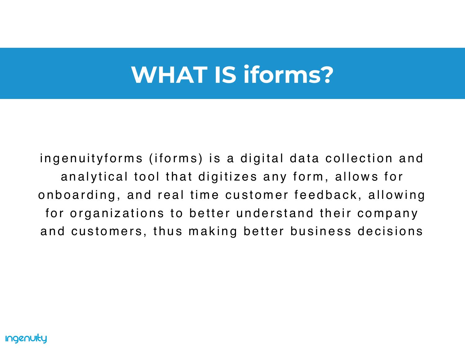# **WHAT IS iforms?**

ingenuity forms (iforms) is a digital data collection and an alytical tool that digitizes any form, allows for onboarding, and real time customer feedback, allowing for organizations to better understand their company and customers, thus making better business decisions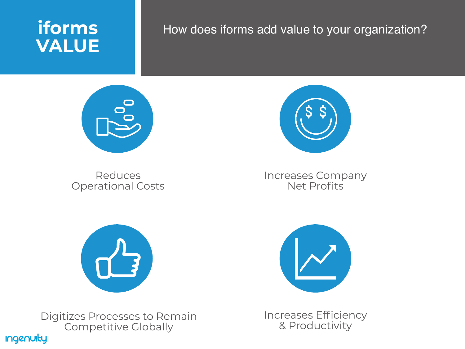#### **Ingenuity**

Digitizes Processes to Remain Competitive Globally



#### Reduces Operational Costs



**i fo r m s**

**VA L U E**

#### How does iforms add value to your organization?

<sup>s</sup> In creases Company Net Profits



Increases Efficiency & Productivity

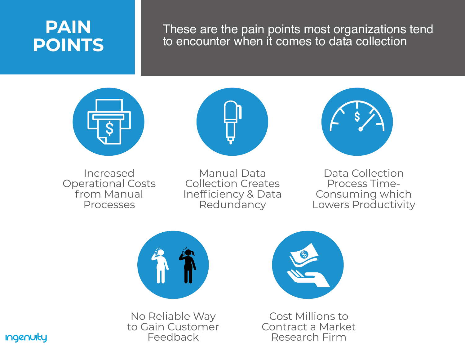### **PAIN POINTS**

#### These are the pain points most organizations tend to encounter when it comes to data collection





Increased Operational Costs from Manual Processes

Manual Data Redundancy

Collection Creates Inefficiency & Data





Data Collection Process Time-Consuming which Lowers Productivity



No Reliable Way to Gain Customer Feedback



Cost Millions to Contract a Market Research Firm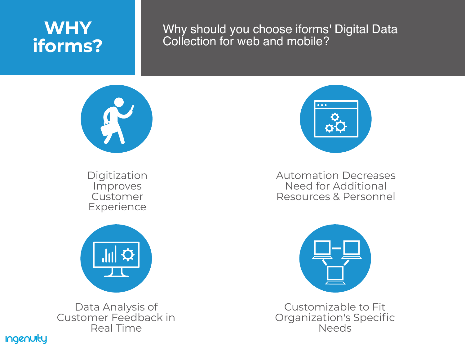### **WHY iforms?**

Digitization Improves Customer **Experience** 



#### Why should you choose iforms' Digital Data Collection for web and mobile?



#### Automation Decreases Need for Additional Resources & Personnel



Data Analysis of Customer Feedback in Real Time





Customizable to Fit Organization's Specific Needs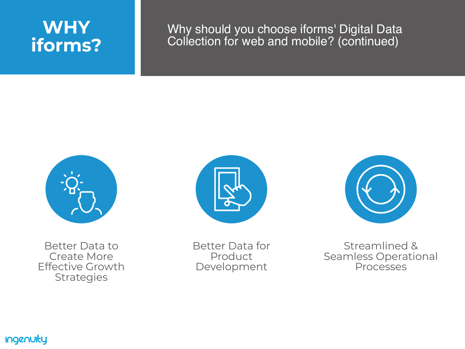### **W H Y i fo r m s ?**

#### Why should you choose iforms' Digital Data Collection for web and mobile? (continued)





Better Data to Create More Effective Growth Strategies

Better Data for Product Development

**Ingenuity** 



### Streamlined & Seamless Operational<br>Processes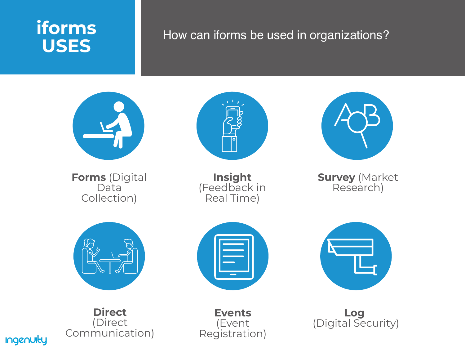### How can iforms be used in organizations?



**Forms** (Digital Data Collection)





**Insight** (Feedback in Real Time)



**Survey** (Market Research)



**Direct** (Direct Communication)









**Events** (Event Registration)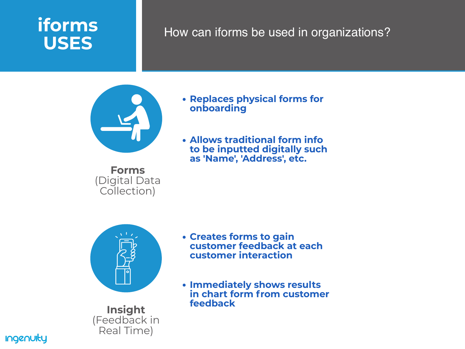#### How can iforms be used in organizations?

- $|\bullet|$
- **Insight** (Feedback in Real Time)

**Ingenuity** 

- - **Forms** (Digital Data Collection)

**Replaces physical forms for**

- **onboarding**
- 

**Creates forms to gain customer feedback at each customer interaction**

**Allows traditional form info to be inputted digitally such as 'Name' , 'Address' , etc.**

**Immediately shows results in chart form from customer**

- 
- **feedback**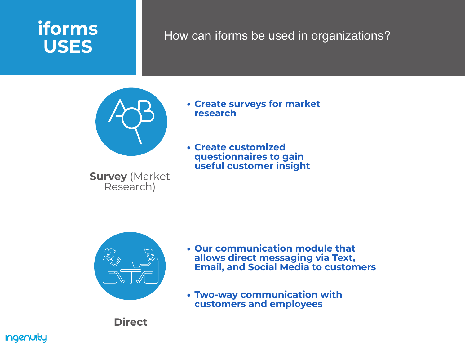#### How can iforms be used in organizations?



**Create surveys for market**

- **research**
- 



- 
- 

**Our communication module that allows direct messaging via Text, Email, and Social Media to customers**

**Direct**

#### **Ingenuity**

**Survey** (Market Research)

**Create customized questionnaires to gain useful customer insight**

**Two-way communication with customers and employees**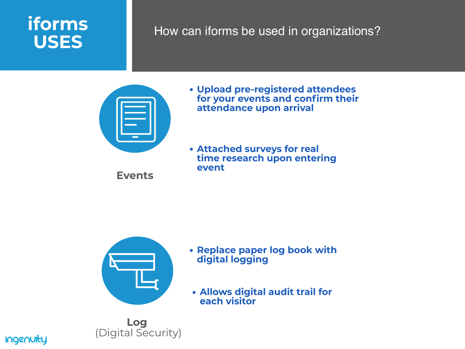#### How can iforms be used in organizations?

**Upload pre-registered attendees for your events and confirm their attendance upon arrival**

**Replace paper log book with digital logging**



**Attached surveys for real time research upon entering**

- 
- **event**

**Log** (Digital Security)



**Allows digital audit trail for**

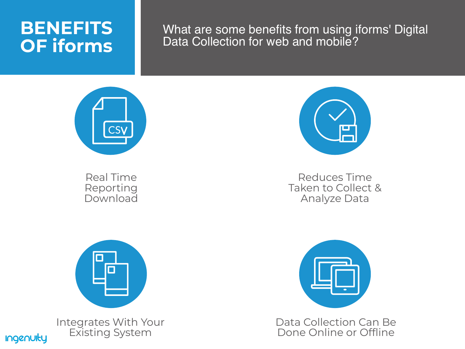### **BENEFITS OF iforms**

#### What are some benefits from using iforms' Digital Data Collection for web and mobile?



Real Time Reporting Download



Integrates With Your Existing System

**Ingenuity** 



#### Reduces Time Taken to Collect & Analyze Data



#### Data Collection Can Be Done Online or Offline